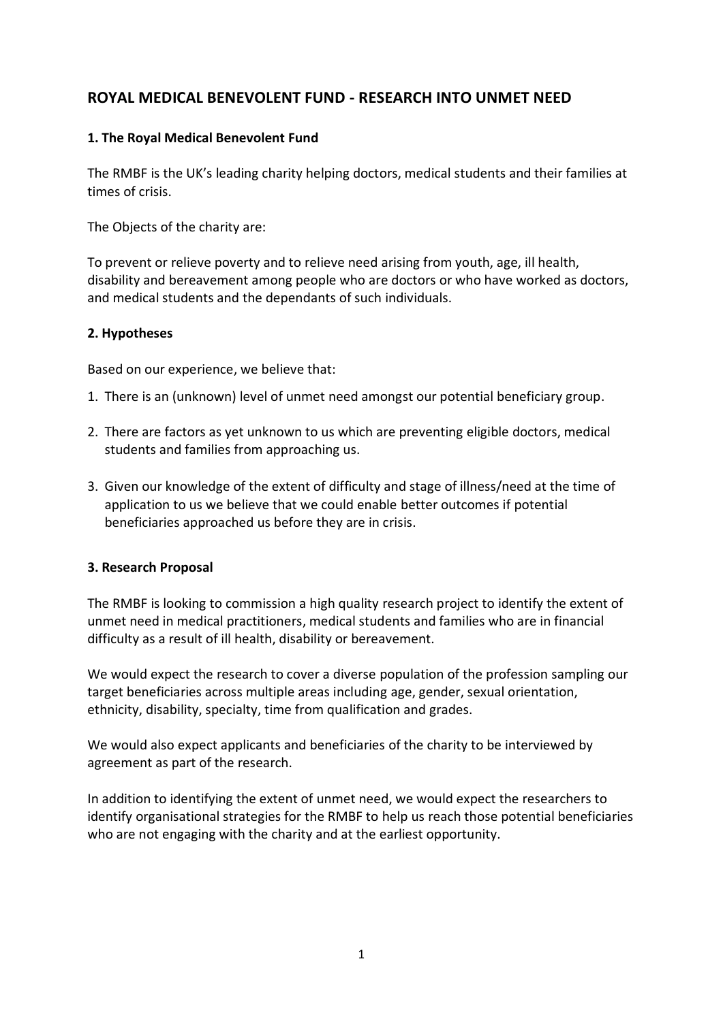# **ROYAL MEDICAL BENEVOLENT FUND - RESEARCH INTO UNMET NEED**

### **1. The Royal Medical Benevolent Fund**

The RMBF is the UK's leading charity helping doctors, medical students and their families at times of crisis.

The Objects of the charity are:

To prevent or relieve poverty and to relieve need arising from youth, age, ill health, disability and bereavement among people who are doctors or who have worked as doctors, and medical students and the dependants of such individuals.

#### **2. Hypotheses**

Based on our experience, we believe that:

- 1. There is an (unknown) level of unmet need amongst our potential beneficiary group.
- 2. There are factors as yet unknown to us which are preventing eligible doctors, medical students and families from approaching us.
- 3. Given our knowledge of the extent of difficulty and stage of illness/need at the time of application to us we believe that we could enable better outcomes if potential beneficiaries approached us before they are in crisis.

#### **3. Research Proposal**

The RMBF is looking to commission a high quality research project to identify the extent of unmet need in medical practitioners, medical students and families who are in financial difficulty as a result of ill health, disability or bereavement.

We would expect the research to cover a diverse population of the profession sampling our target beneficiaries across multiple areas including age, gender, sexual orientation, ethnicity, disability, specialty, time from qualification and grades.

We would also expect applicants and beneficiaries of the charity to be interviewed by agreement as part of the research.

In addition to identifying the extent of unmet need, we would expect the researchers to identify organisational strategies for the RMBF to help us reach those potential beneficiaries who are not engaging with the charity and at the earliest opportunity.